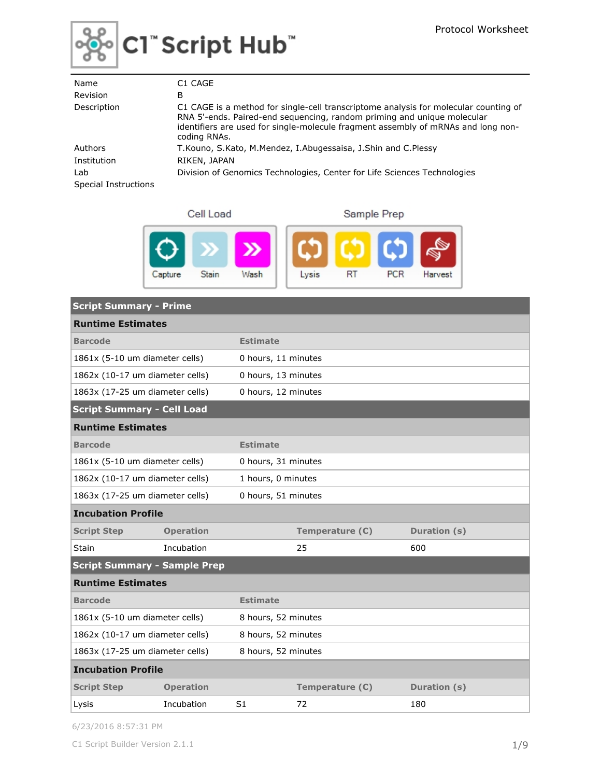

# ႜ⁄ိုေငါ ံScript Hub ံ

| Name                        | C1 CAGE                                                                                                                                                                                                                                                              |
|-----------------------------|----------------------------------------------------------------------------------------------------------------------------------------------------------------------------------------------------------------------------------------------------------------------|
| Revision                    | В                                                                                                                                                                                                                                                                    |
| Description                 | C1 CAGE is a method for single-cell transcriptome analysis for molecular counting of<br>RNA 5'-ends. Paired-end sequencing, random priming and unique molecular<br>identifiers are used for single-molecule fragment assembly of mRNAs and long non-<br>coding RNAs. |
| Authors                     | T. Kouno, S. Kato, M. Mendez, I. Abugessaisa, J. Shin and C. Plessy                                                                                                                                                                                                  |
| Institution                 | RIKEN, JAPAN                                                                                                                                                                                                                                                         |
| Lab<br>Special Instructions | Division of Genomics Technologies, Center for Life Sciences Technologies                                                                                                                                                                                             |

|--|--|



| <b>Script Summary - Prime</b>       |                  |                     |                 |              |  |  |
|-------------------------------------|------------------|---------------------|-----------------|--------------|--|--|
| <b>Runtime Estimates</b>            |                  |                     |                 |              |  |  |
| <b>Barcode</b>                      |                  | <b>Estimate</b>     |                 |              |  |  |
| 1861x (5-10 um diameter cells)      |                  | 0 hours, 11 minutes |                 |              |  |  |
| 1862x (10-17 um diameter cells)     |                  | 0 hours, 13 minutes |                 |              |  |  |
| 1863x (17-25 um diameter cells)     |                  | 0 hours, 12 minutes |                 |              |  |  |
| <b>Script Summary - Cell Load</b>   |                  |                     |                 |              |  |  |
| <b>Runtime Estimates</b>            |                  |                     |                 |              |  |  |
| <b>Barcode</b>                      |                  | <b>Estimate</b>     |                 |              |  |  |
| 1861x (5-10 um diameter cells)      |                  | 0 hours, 31 minutes |                 |              |  |  |
| 1862x (10-17 um diameter cells)     |                  | 1 hours, 0 minutes  |                 |              |  |  |
| 1863x (17-25 um diameter cells)     |                  | 0 hours, 51 minutes |                 |              |  |  |
| <b>Incubation Profile</b>           |                  |                     |                 |              |  |  |
| <b>Script Step</b>                  | <b>Operation</b> |                     | Temperature (C) | Duration (s) |  |  |
| <b>Stain</b>                        | Incubation       |                     | 25              | 600          |  |  |
| <b>Script Summary - Sample Prep</b> |                  |                     |                 |              |  |  |
| <b>Runtime Estimates</b>            |                  |                     |                 |              |  |  |
| <b>Barcode</b>                      |                  | <b>Estimate</b>     |                 |              |  |  |
| 1861x (5-10 um diameter cells)      |                  | 8 hours, 52 minutes |                 |              |  |  |
| 1862x (10-17 um diameter cells)     |                  | 8 hours, 52 minutes |                 |              |  |  |
| 1863x (17-25 um diameter cells)     |                  | 8 hours, 52 minutes |                 |              |  |  |
| <b>Incubation Profile</b>           |                  |                     |                 |              |  |  |
| <b>Script Step</b>                  | <b>Operation</b> |                     | Temperature (C) | Duration (s) |  |  |
| Lysis                               | Incubation       | S <sub>1</sub>      | 72              | 180          |  |  |

6/23/2016 8:57:31 PM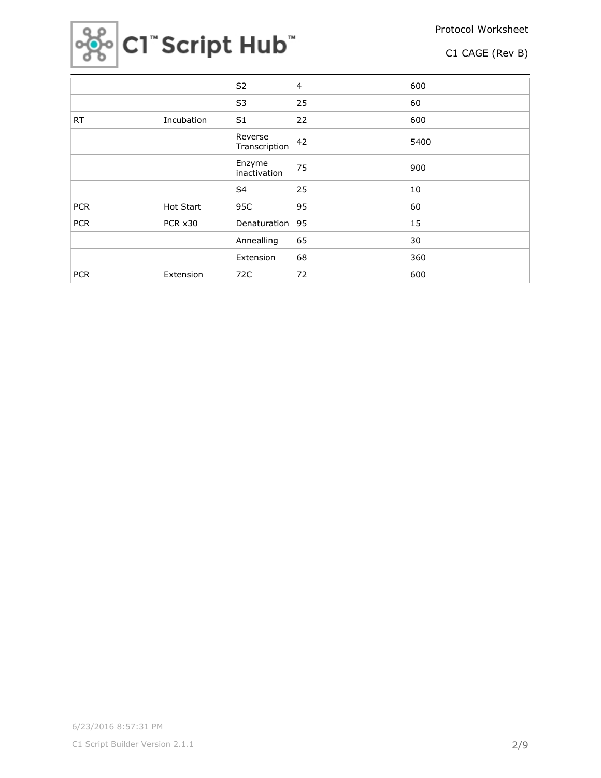Protocol Worksheet



C1 CAGE (Rev B)

|            |            | S <sub>2</sub>           | $\overline{4}$ | 600  |
|------------|------------|--------------------------|----------------|------|
|            |            | S <sub>3</sub>           | 25             | 60   |
| <b>RT</b>  | Incubation | S1                       | 22             | 600  |
|            |            | Reverse<br>Transcription | 42             | 5400 |
|            |            | Enzyme<br>inactivation   | 75             | 900  |
|            |            | S4                       | 25             | 10   |
| <b>PCR</b> | Hot Start  | 95C                      | 95             | 60   |
| <b>PCR</b> | PCR x30    | Denaturation             | 95             | 15   |
|            |            | Annealling               | 65             | 30   |
|            |            | Extension                | 68             | 360  |
| <b>PCR</b> | Extension  | 72C                      | 72             | 600  |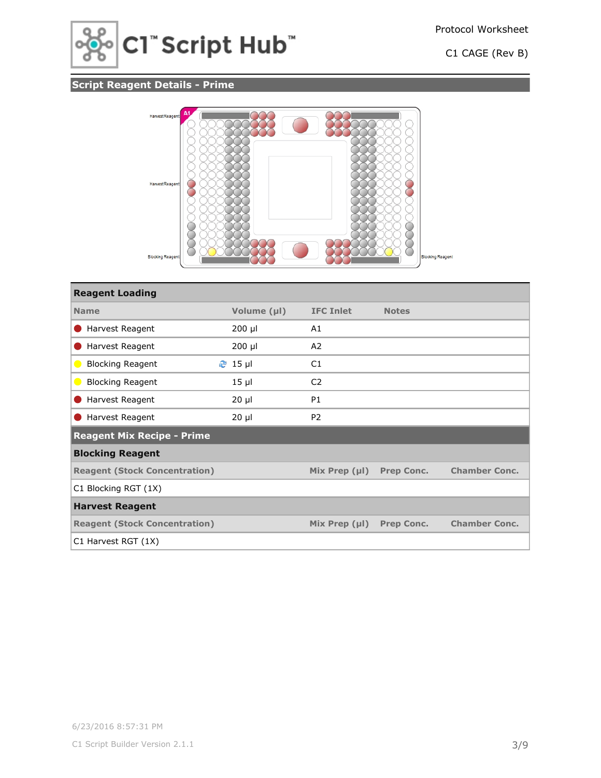

# **Script Reagent Details - Prime**



| <b>Reagent Loading</b>               |                |                    |                   |                      |
|--------------------------------------|----------------|--------------------|-------------------|----------------------|
| <b>Name</b>                          | Volume (µl)    | <b>IFC Inlet</b>   | <b>Notes</b>      |                      |
| Harvest Reagent                      | $200$ µl       | A1                 |                   |                      |
| Harvest Reagent                      | 200 µl         | A2                 |                   |                      |
| <b>Blocking Reagent</b><br>$\bullet$ | <b>֎</b> 15 µl | C1                 |                   |                      |
| <b>Blocking Reagent</b><br>$\bullet$ | $15$ $\mu$     | C <sub>2</sub>     |                   |                      |
| Harvest Reagent                      | $20 \mu$       | <b>P1</b>          |                   |                      |
| Harvest Reagent                      | $20 \mu$       | P <sub>2</sub>     |                   |                      |
| <b>Reagent Mix Recipe - Prime</b>    |                |                    |                   |                      |
| <b>Blocking Reagent</b>              |                |                    |                   |                      |
| <b>Reagent (Stock Concentration)</b> |                | Mix Prep $(\mu I)$ | <b>Prep Conc.</b> | <b>Chamber Conc.</b> |
| C1 Blocking RGT (1X)                 |                |                    |                   |                      |
| <b>Harvest Reagent</b>               |                |                    |                   |                      |
| <b>Reagent (Stock Concentration)</b> |                | Mix Prep $(\mu I)$ | <b>Prep Conc.</b> | <b>Chamber Conc.</b> |
| C1 Harvest RGT (1X)                  |                |                    |                   |                      |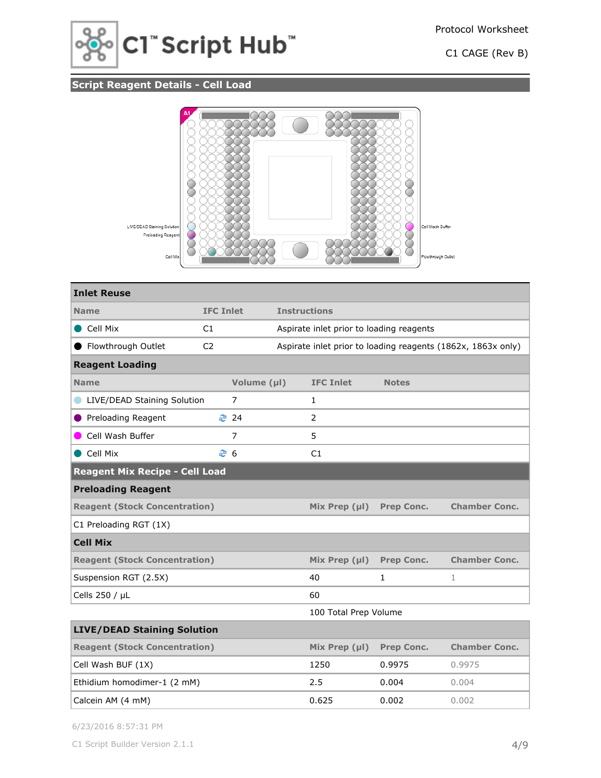

# **Script Reagent Details - Cell Load**



| <b>Inlet Reuse</b>                    |                  |                |                     |                                          |                   |                                                              |  |
|---------------------------------------|------------------|----------------|---------------------|------------------------------------------|-------------------|--------------------------------------------------------------|--|
| <b>Name</b>                           | <b>IFC Inlet</b> |                | <b>Instructions</b> |                                          |                   |                                                              |  |
| Cell Mix                              | C1               |                |                     | Aspirate inlet prior to loading reagents |                   |                                                              |  |
| Flowthrough Outlet                    | C <sub>2</sub>   |                |                     |                                          |                   | Aspirate inlet prior to loading reagents (1862x, 1863x only) |  |
| <b>Reagent Loading</b>                |                  |                |                     |                                          |                   |                                                              |  |
| <b>Name</b>                           |                  | Volume (µl)    |                     | <b>IFC Inlet</b>                         | <b>Notes</b>      |                                                              |  |
| LIVE/DEAD Staining Solution           |                  | $\overline{7}$ |                     | 1                                        |                   |                                                              |  |
| Preloading Reagent                    |                  | ₹ 24           |                     | $\overline{2}$                           |                   |                                                              |  |
| Cell Wash Buffer                      |                  | $\overline{7}$ |                     | 5                                        |                   |                                                              |  |
| Cell Mix                              |                  | ළ 6            |                     | C1                                       |                   |                                                              |  |
| <b>Reagent Mix Recipe - Cell Load</b> |                  |                |                     |                                          |                   |                                                              |  |
| <b>Preloading Reagent</b>             |                  |                |                     |                                          |                   |                                                              |  |
| <b>Reagent (Stock Concentration)</b>  |                  |                |                     | Mix Prep $(\mu I)$                       | <b>Prep Conc.</b> | <b>Chamber Conc.</b>                                         |  |
| C1 Preloading RGT (1X)                |                  |                |                     |                                          |                   |                                                              |  |
| <b>Cell Mix</b>                       |                  |                |                     |                                          |                   |                                                              |  |
| <b>Reagent (Stock Concentration)</b>  |                  |                |                     | Mix Prep $(\mu I)$                       | <b>Prep Conc.</b> | <b>Chamber Conc.</b>                                         |  |
| Suspension RGT (2.5X)                 |                  |                |                     | 40                                       | 1                 | 1                                                            |  |
| Cells 250 / µL                        |                  |                |                     | 60                                       |                   |                                                              |  |
|                                       |                  |                |                     | 100 Total Prep Volume                    |                   |                                                              |  |
| <b>LIVE/DEAD Staining Solution</b>    |                  |                |                     |                                          |                   |                                                              |  |
| <b>Reagent (Stock Concentration)</b>  |                  |                |                     | Mix Prep (µl)                            | Prep Conc.        | <b>Chamber Conc.</b>                                         |  |
| Cell Wash BUF (1X)                    |                  |                |                     | 1250                                     | 0.9975            | 0.9975                                                       |  |
| Ethidium homodimer-1 (2 mM)           |                  |                |                     | 2.5                                      | 0.004             | 0.004                                                        |  |
| Calcein AM (4 mM)                     |                  |                |                     | 0.625                                    | 0.002             | 0.002                                                        |  |

6/23/2016 8:57:31 PM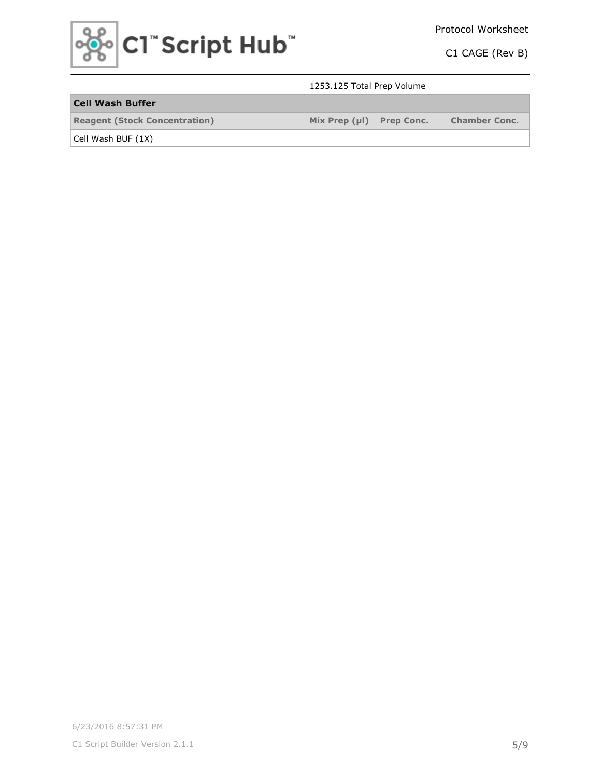

## 1253.125 Total Prep Volume

## **Cell Wash Buffer**

**Reagent (Stock Concentration) Mix Prep (µl) Prep Conc. Chamber Conc.**

Cell Wash BUF (1X)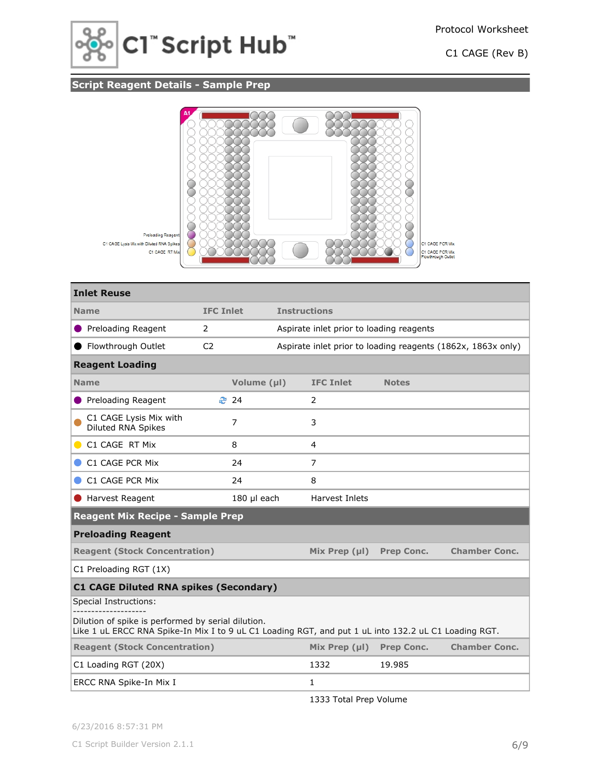

# **Script Reagent Details - Sample Prep**



| <b>Inlet Reuse</b>                                                                                                                                         |                  |             |                     |                                          |                   |                                                              |
|------------------------------------------------------------------------------------------------------------------------------------------------------------|------------------|-------------|---------------------|------------------------------------------|-------------------|--------------------------------------------------------------|
| <b>Name</b>                                                                                                                                                | <b>IFC Inlet</b> |             | <b>Instructions</b> |                                          |                   |                                                              |
| Preloading Reagent                                                                                                                                         | 2                |             |                     | Aspirate inlet prior to loading reagents |                   |                                                              |
| Flowthrough Outlet                                                                                                                                         | C <sub>2</sub>   |             |                     |                                          |                   | Aspirate inlet prior to loading reagents (1862x, 1863x only) |
| <b>Reagent Loading</b>                                                                                                                                     |                  |             |                     |                                          |                   |                                                              |
| <b>Name</b>                                                                                                                                                |                  | Volume (µl) |                     | <b>IFC Inlet</b>                         | <b>Notes</b>      |                                                              |
| Preloading Reagent                                                                                                                                         |                  | <b>₹</b> 24 |                     | 2                                        |                   |                                                              |
| C1 CAGE Lysis Mix with<br>Diluted RNA Spikes                                                                                                               |                  | 7           |                     | 3                                        |                   |                                                              |
| C1 CAGE RT Mix                                                                                                                                             |                  | 8           |                     | 4                                        |                   |                                                              |
| C1 CAGE PCR Mix                                                                                                                                            |                  | 24          |                     | $\overline{7}$                           |                   |                                                              |
| C1 CAGE PCR Mix                                                                                                                                            |                  | 24          |                     | 8                                        |                   |                                                              |
| Harvest Reagent                                                                                                                                            |                  | 180 µl each |                     | Harvest Inlets                           |                   |                                                              |
| <b>Reagent Mix Recipe - Sample Prep</b>                                                                                                                    |                  |             |                     |                                          |                   |                                                              |
| <b>Preloading Reagent</b>                                                                                                                                  |                  |             |                     |                                          |                   |                                                              |
| <b>Reagent (Stock Concentration)</b>                                                                                                                       |                  |             |                     | Mix Prep $(\mu I)$                       | <b>Prep Conc.</b> | <b>Chamber Conc.</b>                                         |
| C1 Preloading RGT (1X)                                                                                                                                     |                  |             |                     |                                          |                   |                                                              |
| <b>C1 CAGE Diluted RNA spikes (Secondary)</b>                                                                                                              |                  |             |                     |                                          |                   |                                                              |
| Special Instructions:                                                                                                                                      |                  |             |                     |                                          |                   |                                                              |
| Dilution of spike is performed by serial dilution.<br>Like 1 uL ERCC RNA Spike-In Mix I to 9 uL C1 Loading RGT, and put 1 uL into 132.2 uL C1 Loading RGT. |                  |             |                     |                                          |                   |                                                              |
| <b>Reagent (Stock Concentration)</b>                                                                                                                       |                  |             |                     | Mix Prep $(\mu I)$                       | <b>Prep Conc.</b> | <b>Chamber Conc.</b>                                         |
| C1 Loading RGT (20X)                                                                                                                                       |                  |             |                     | 1332                                     | 19.985            |                                                              |
| ERCC RNA Spike-In Mix I                                                                                                                                    |                  |             |                     | 1                                        |                   |                                                              |

1333 Total Prep Volume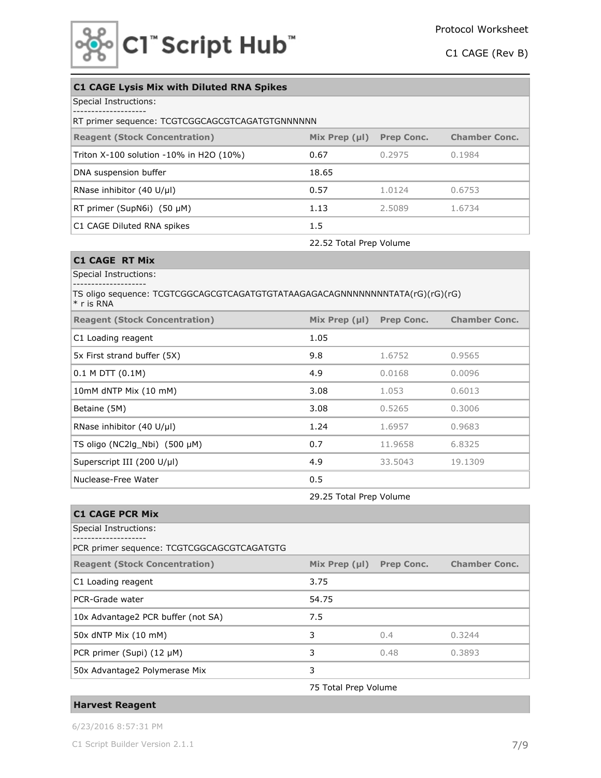

| <b>C1 CAGE Lysis Mix with Diluted RNA Spikes</b> |                    |                   |                      |  |  |  |  |  |
|--------------------------------------------------|--------------------|-------------------|----------------------|--|--|--|--|--|
| Special Instructions:                            |                    |                   |                      |  |  |  |  |  |
| RT primer sequence: TCGTCGGCAGCGTCAGATGTGNNNNNN  |                    |                   |                      |  |  |  |  |  |
| <b>Reagent (Stock Concentration)</b>             | Mix Prep $(\mu I)$ | <b>Prep Conc.</b> | <b>Chamber Conc.</b> |  |  |  |  |  |
| Triton X-100 solution -10% in H2O (10%)          | 0.67               | 0.2975            | 0.1984               |  |  |  |  |  |
| DNA suspension buffer                            | 18.65              |                   |                      |  |  |  |  |  |
| RNase inhibitor $(40 \text{ U/}\mu\text{I})$     | 0.57               | 1.0124            | 0.6753               |  |  |  |  |  |
| RT primer (SupN6i) $(50 \mu M)$                  | 1.13               | 2.5089            | 1.6734               |  |  |  |  |  |
| C1 CAGE Diluted RNA spikes                       | 1.5                |                   |                      |  |  |  |  |  |
|                                                  |                    |                   |                      |  |  |  |  |  |

22.52 Total Prep Volume

## **C1 CAGE RT Mix**

Special Instructions: --------------------

### TS oligo sequence: TCGTCGGCAGCGTCAGATGTGTATAAGAGACAGNNNNNNNNTATA(rG)(rG)(rG) \* r is RNA

| <b>Reagent (Stock Concentration)</b>         | Mix Prep $(\mu I)$ | <b>Prep Conc.</b> | <b>Chamber Conc.</b> |
|----------------------------------------------|--------------------|-------------------|----------------------|
| C1 Loading reagent                           | 1.05               |                   |                      |
| 5x First strand buffer (5X)                  | 9.8                | 1.6752            | 0.9565               |
| $0.1$ M DTT $(0.1M)$                         | 4.9                | 0.0168            | 0.0096               |
| 10mM dNTP Mix (10 mM)                        | 3.08               | 1.053             | 0.6013               |
| Betaine (5M)                                 | 3.08               | 0.5265            | 0.3006               |
| RNase inhibitor $(40 \text{ U/}\mu\text{I})$ | 1.24               | 1.6957            | 0.9683               |
| TS oligo (NC2lg Nbi) $(500 \mu M)$           | 0.7                | 11.9658           | 6.8325               |
| Superscript III (200 U/µl)                   | 4.9                | 33.5043           | 19.1309              |
| Nuclease-Free Water                          | 0.5                |                   |                      |

29.25 Total Prep Volume

| <b>C1 CAGE PCR Mix</b>                     |                      |                   |                      |
|--------------------------------------------|----------------------|-------------------|----------------------|
| Special Instructions:                      |                      |                   |                      |
| PCR primer sequence: TCGTCGGCAGCGTCAGATGTG |                      |                   |                      |
| <b>Reagent (Stock Concentration)</b>       | Mix Prep $(\mu I)$   | <b>Prep Conc.</b> | <b>Chamber Conc.</b> |
| C1 Loading reagent                         | 3.75                 |                   |                      |
| PCR-Grade water                            | 54.75                |                   |                      |
| 10x Advantage2 PCR buffer (not SA)         | 7.5                  |                   |                      |
| 50x dNTP Mix (10 mM)                       | 3                    | 0.4               | 0.3244               |
| PCR primer (Supi) $(12 \mu M)$             | 3                    | 0.48              | 0.3893               |
| 50x Advantage2 Polymerase Mix              | 3                    |                   |                      |
|                                            | 75 Total Prep Volume |                   |                      |

### **Harvest Reagent**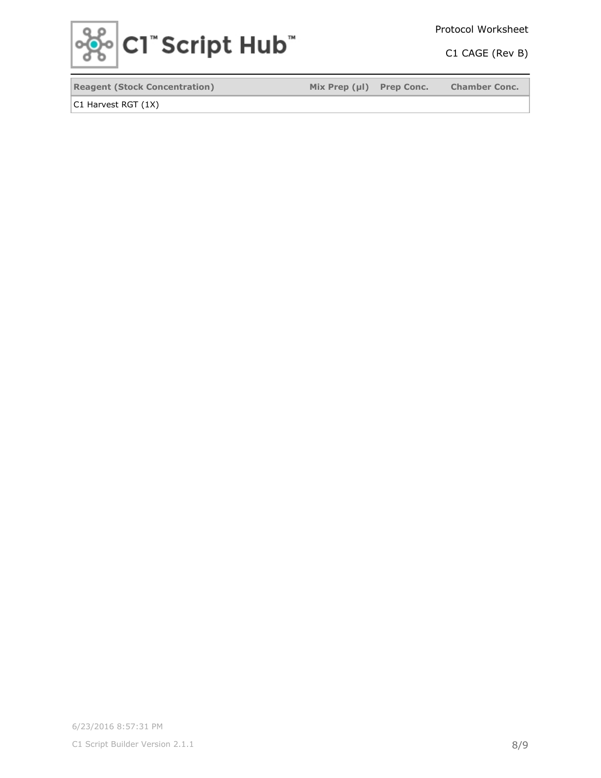

Protocol Worksheet

C1 CAGE (Rev B)

**Reagent (Stock Concentration) Mix Prep (µl) Prep Conc. Chamber Conc.**

C1 Harvest RGT (1X)